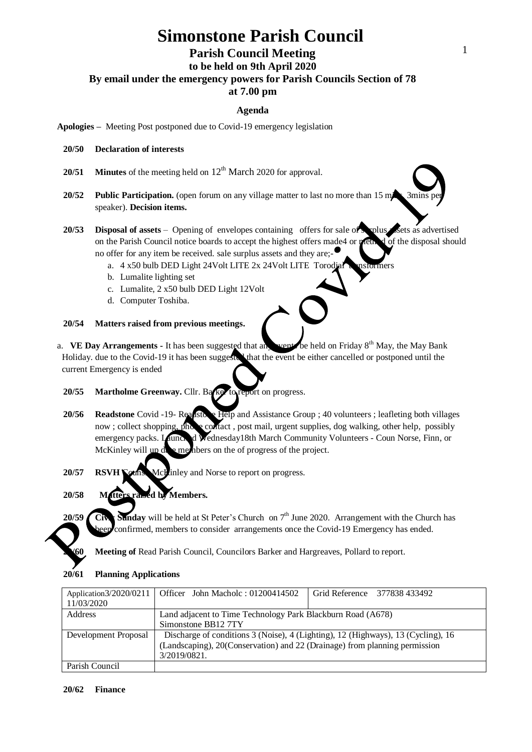# **Simonstone Parish Council**

## **Parish Council Meeting**

**to be held on 9th April 2020**

**By email under the emergency powers for Parish Councils Section of 78** 

# **at 7.00 pm**

### **Agenda**

**Apologies –** Meeting Post postponed due to Covid-19 emergency legislation

#### **20/50 Declaration of interests**

- **20/51 Minutes** of the meeting held on  $12<sup>th</sup>$  **March** 2020 for approval.
- **20/52 Public Participation.** (open forum on any village matter to last no more than 15 m speaker). **Decision items.**
- 20/53 **Disposal of assets** Opening of envelopes containing offers for sale of surplus sets as advertised on the Parish Council notice boards to accept the highest offers made4 or method of the disposal should no offer for any item be received. sale surplus assets and they are;
	- a.  $4 \times 50$  bulb DED Light 24Volt LITE 2x 24Volt LITE Torodial transformers
	- b. Lumalite lighting set
	- c. Lumalite, 2 x50 bulb DED Light 12Volt
	- d. Computer Toshiba.

#### **20/54 Matters raised from previous meetings.**

- a. **VE Day Arrangements -** It has been suggested that any went be held on Friday 8<sup>th</sup> May, the May Bank Holiday, due to the Covid-19 it has been suggested that the event be either cancelled or postponed until the current Emergency is ended
	- **20/55 Martholme Greenway.** Cllr. Barker to report on progress.
	- 20/56 **Readstone** Covid -19- Readstone Help and Assistance Group ; 40 volunteers ; leafleting both villages now ; collect shopping, phone contact, post mail, urgent supplies, dog walking, other help, possibly emergency packs. Launched Wednesday18th March Community Volunteers - Coun Norse, Finn, or McKinley will  $\mu$  denote members on the of progress of the project.
	- 20/57 **RSVH Couns.** McLinley and Norse to report on progress.

### **20/58 Matters raised by Members.**

20/59 Civ: Sunday will be held at St Peter's Church on 7<sup>th</sup> June 2020. Arrangement with the Church has confirmed, members to consider arrangements once the Covid-19 Emergency has ended.

**20/60 Meeting of** Read Parish Council, Councilors Barker and Hargreaves, Pollard to report.

| 20/61 | <b>Planning Applications</b> |
|-------|------------------------------|

|                      | Application3/2020/0211   Officer John Macholc: 01200414502                       | Grid Reference 377838 433492 |  |
|----------------------|----------------------------------------------------------------------------------|------------------------------|--|
| 11/03/2020           |                                                                                  |                              |  |
| Address              | Land adjacent to Time Technology Park Blackburn Road (A678)                      |                              |  |
|                      | Simonstone BB12 7TY                                                              |                              |  |
| Development Proposal | Discharge of conditions 3 (Noise), 4 (Lighting), 12 (Highways), 13 (Cycling), 16 |                              |  |
|                      | (Landscaping), 20(Conservation) and 22 (Drainage) from planning permission       |                              |  |
|                      | 3/2019/0821.                                                                     |                              |  |
| Parish Council       |                                                                                  |                              |  |